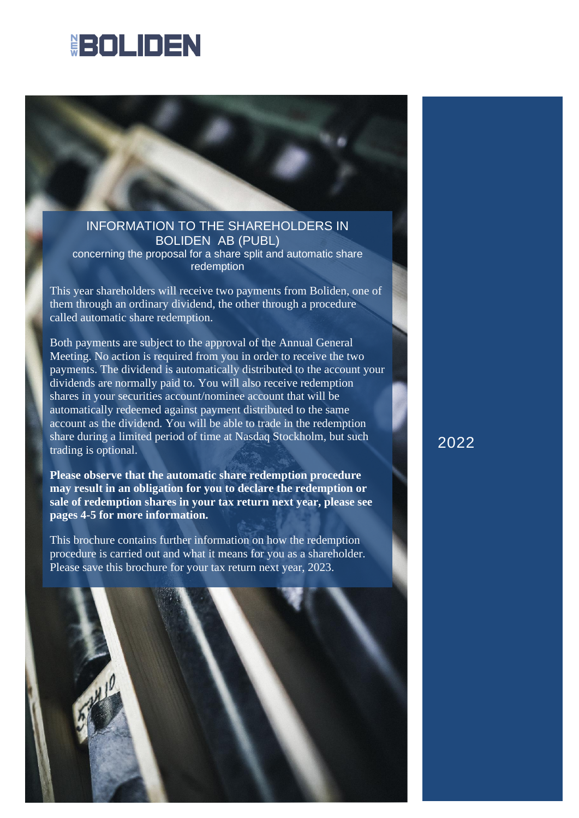# **HEOLIDEN**



# INFORMATION TO THE SHAREHOLDERS IN BOLIDEN AB (PUBL)

concerning the proposal for a share split and automatic share redemption

This year shareholders will receive two payments from Boliden, one of them through an ordinary dividend, the other through a procedure called automatic share redemption.

Both payments are subject to the approval of the Annual General Meeting. No action is required from you in order to receive the two payments. The dividend is automatically distributed to the account your dividends are normally paid to. You will also receive redemption shares in your securities account/nominee account that will be automatically redeemed against payment distributed to the same account as the dividend. You will be able to trade in the redemption share during a limited period of time at Nasdaq Stockholm, but such trading is optional.

**Please observe that the automatic share redemption procedure may result in an obligation for you to declare the redemption or sale of redemption shares in your tax return next year, please see pages 4-5 for more information.** 

This brochure contains further information on how the redemption procedure is carried out and what it means for you as a shareholder. Please save this brochure for your tax return next year, 2023.



2022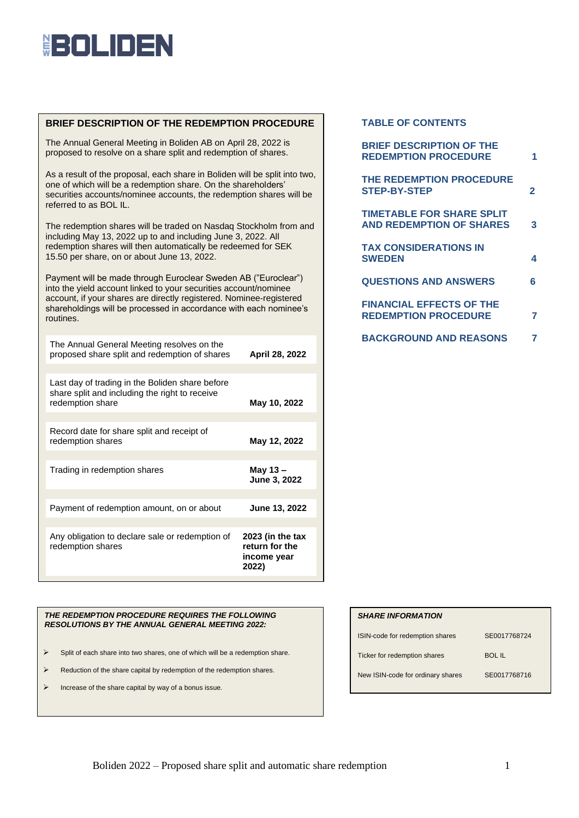# **HEOLINEN**

## **BRIEF DESCRIPTION OF THE REDEMPTION PROCEDURE**

The Annual General Meeting in Boliden AB on April 28, 2022 is proposed to resolve on a share split and redemption of shares.

As a result of the proposal, each share in Boliden will be split into two, one of which will be a redemption share. On the shareholders' securities accounts/nominee accounts, the redemption shares will be referred to as BOL IL.

The redemption shares will be traded on Nasdaq Stockholm from and including May 13, 2022 up to and including June 3, 2022. All redemption shares will then automatically be redeemed for SEK 15.50 per share, on or about June 13, 2022.

Payment will be made through Euroclear Sweden AB ("Euroclear") into the yield account linked to your securities account/nominee account, if your shares are directly registered. Nominee-registered shareholdings will be processed in accordance with each nominee's routines.

| The Annual General Meeting resolves on the<br>proposed share split and redemption of shares<br>April 28, 2022         |                                                            |  |  |  |
|-----------------------------------------------------------------------------------------------------------------------|------------------------------------------------------------|--|--|--|
|                                                                                                                       |                                                            |  |  |  |
| Last day of trading in the Boliden share before<br>share split and including the right to receive<br>redemption share | May 10, 2022                                               |  |  |  |
|                                                                                                                       |                                                            |  |  |  |
| Record date for share split and receipt of<br>redemption shares                                                       | May 12, 2022                                               |  |  |  |
|                                                                                                                       |                                                            |  |  |  |
| Trading in redemption shares                                                                                          | May $13 -$<br>June 3, 2022                                 |  |  |  |
|                                                                                                                       |                                                            |  |  |  |
| Payment of redemption amount, on or about                                                                             | June 13, 2022                                              |  |  |  |
|                                                                                                                       |                                                            |  |  |  |
| Any obligation to declare sale or redemption of<br>redemption shares                                                  | 2023 (in the tax<br>return for the<br>income year<br>2022) |  |  |  |

### *THE REDEMPTION PROCEDURE REQUIRES THE FOLLOWING RESOLUTIONS BY THE ANNUAL GENERAL MEETING 2022:*

- ➢ Split of each share into two shares, one of which will be a redemption share.
- ➢ Reduction of the share capital by redemption of the redemption shares.
- $\triangleright$  Increase of the share capital by way of a bonus issue.

## **TABLE OF CONTENTS**

| <b>BRIEF DESCRIPTION OF THE</b><br><b>REDEMPTION PROCEDURE</b>      |   |
|---------------------------------------------------------------------|---|
| THE REDEMPTION PROCEDURE<br><b>STEP-BY-STEP</b>                     | 2 |
| <b>TIMETABLE FOR SHARE SPLIT</b><br><b>AND REDEMPTION OF SHARES</b> | 3 |
| <b>TAX CONSIDERATIONS IN</b><br><b>SWEDEN</b>                       | 4 |
| <b>QUESTIONS AND ANSWERS</b>                                        | 6 |
| <b>FINANCIAL EFFECTS OF THE</b><br><b>REDEMPTION PROCEDURE</b>      | 7 |
| <b>BACKGROUND AND REASONS</b>                                       |   |

### *SHARE INFORMATION*

| ISIN-code for redemption shares   | SE0017768724 |  |
|-----------------------------------|--------------|--|
| Ticker for redemption shares      | BOL IL       |  |
| New ISIN-code for ordinary shares | SE0017768716 |  |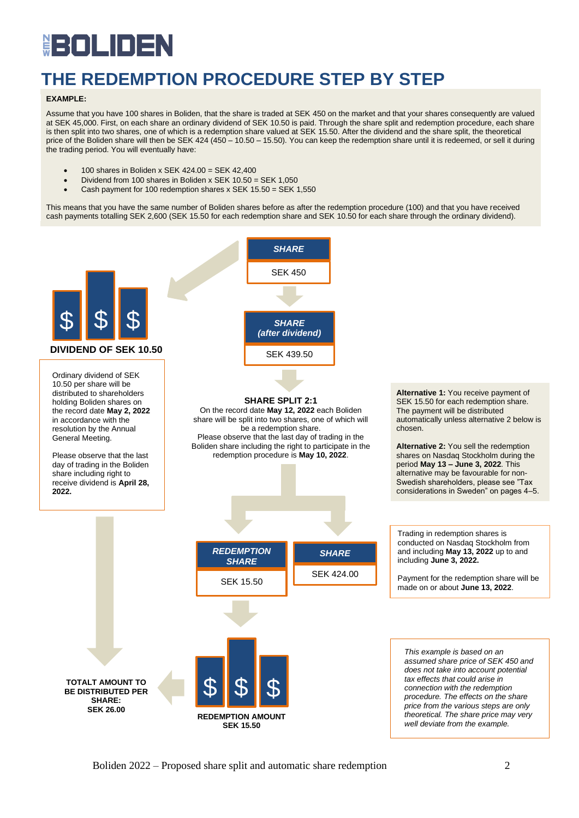# BOLIDE Ë

# **THE REDEMPTION PROCEDURE STEP BY STEP**

### **EXAMPLE:**

Assume that you have 100 shares in Boliden, that the share is traded at SEK 450 on the market and that your shares consequently are valued at SEK 45,000. First, on each share an ordinary dividend of SEK 10.50 is paid. Through the share split and redemption procedure, each share is then split into two shares, one of which is a redemption share valued at SEK 15.50. After the dividend and the share split, the theoretical price of the Boliden share will then be SEK 424 (450 – 10.50 – 15.50). You can keep the redemption share until it is redeemed, or sell it during the trading period. You will eventually have:

- $\bullet$  100 shares in Boliden x SEK 424.00 = SEK 42.400
- Dividend from 100 shares in Boliden x SEK 10.50 = SEK 1,050
- Cash payment for 100 redemption shares x SEK 15.50 = SEK 1,550

This means that you have the same number of Boliden shares before as after the redemption procedure (100) and that you have received cash payments totalling SEK 2,600 (SEK 15.50 for each redemption share and SEK 10.50 for each share through the ordinary dividend).

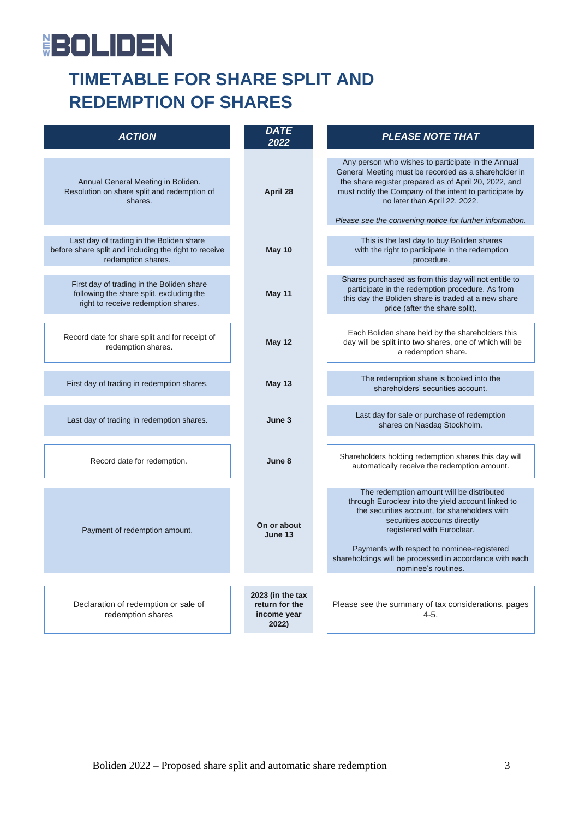# **BOLIDEN**

# **TIMETABLE FOR SHARE SPLIT AND REDEMPTION OF SHARES**

| <b>ACTION</b>                                                                                                                | <b>DATE</b><br>2022                                        | <b>PLEASE NOTE THAT</b>                                                                                                                                                                                                                                                                                                                         |  |  |
|------------------------------------------------------------------------------------------------------------------------------|------------------------------------------------------------|-------------------------------------------------------------------------------------------------------------------------------------------------------------------------------------------------------------------------------------------------------------------------------------------------------------------------------------------------|--|--|
| Annual General Meeting in Boliden.<br>Resolution on share split and redemption of<br>shares.                                 | April 28                                                   | Any person who wishes to participate in the Annual<br>General Meeting must be recorded as a shareholder in<br>the share register prepared as of April 20, 2022, and<br>must notify the Company of the intent to participate by<br>no later than April 22, 2022.<br>Please see the convening notice for further information.                     |  |  |
| Last day of trading in the Boliden share<br>before share split and including the right to receive<br>redemption shares.      | May 10                                                     | This is the last day to buy Boliden shares<br>with the right to participate in the redemption<br>procedure.                                                                                                                                                                                                                                     |  |  |
| First day of trading in the Boliden share<br>following the share split, excluding the<br>right to receive redemption shares. | May 11                                                     | Shares purchased as from this day will not entitle to<br>participate in the redemption procedure. As from<br>this day the Boliden share is traded at a new share<br>price (after the share split).                                                                                                                                              |  |  |
| Record date for share split and for receipt of<br>redemption shares.                                                         | <b>May 12</b>                                              | Each Boliden share held by the shareholders this<br>day will be split into two shares, one of which will be<br>a redemption share.                                                                                                                                                                                                              |  |  |
| First day of trading in redemption shares.                                                                                   | <b>May 13</b>                                              | The redemption share is booked into the<br>shareholders' securities account.                                                                                                                                                                                                                                                                    |  |  |
| Last day of trading in redemption shares.                                                                                    | June 3                                                     | Last day for sale or purchase of redemption<br>shares on Nasdaq Stockholm.                                                                                                                                                                                                                                                                      |  |  |
| Record date for redemption.                                                                                                  | June 8                                                     | Shareholders holding redemption shares this day will<br>automatically receive the redemption amount.                                                                                                                                                                                                                                            |  |  |
| Payment of redemption amount.                                                                                                | On or about<br>June 13                                     | The redemption amount will be distributed<br>through Euroclear into the yield account linked to<br>the securities account, for shareholders with<br>securities accounts directly<br>registered with Euroclear.<br>Payments with respect to nominee-registered<br>shareholdings will be processed in accordance with each<br>nominee's routines. |  |  |
| Declaration of redemption or sale of<br>redemption shares                                                                    | 2023 (in the tax<br>return for the<br>income year<br>2022) | Please see the summary of tax considerations, pages<br>$4 - 5.$                                                                                                                                                                                                                                                                                 |  |  |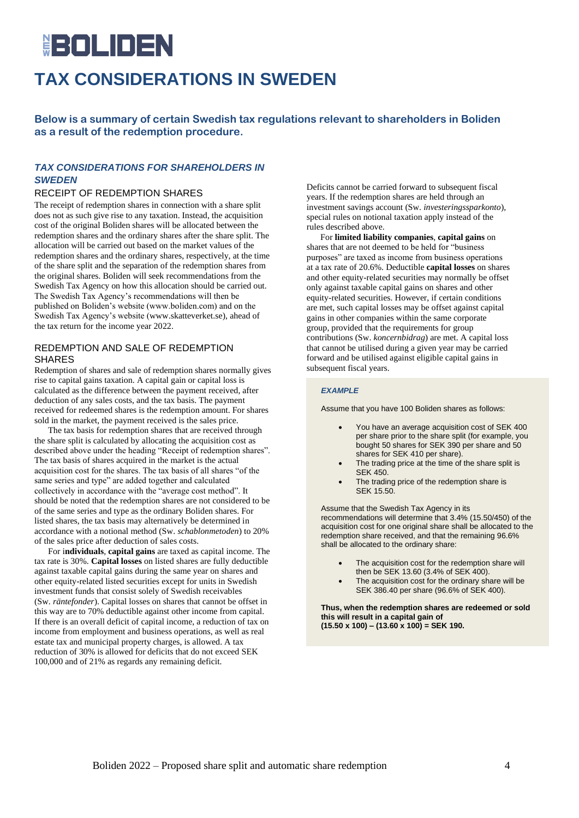# **IROLIDEN TAX CONSIDERATIONS IN SWEDEN**

**Below is a summary of certain Swedish tax regulations relevant to shareholders in Boliden as a result of the redemption procedure.**

## *TAX CONSIDERATIONS FOR SHAREHOLDERS IN SWEDEN*

## RECEIPT OF REDEMPTION SHARES

The receipt of redemption shares in connection with a share split does not as such give rise to any taxation. Instead, the acquisition cost of the original Boliden shares will be allocated between the redemption shares and the ordinary shares after the share split. The allocation will be carried out based on the market values of the redemption shares and the ordinary shares, respectively, at the time of the share split and the separation of the redemption shares from the original shares. Boliden will seek recommendations from the Swedish Tax Agency on how this allocation should be carried out. The Swedish Tax Agency's recommendations will then be published on Boliden's website (www.boliden.com) and on the Swedish Tax Agency's website (www.skatteverket.se), ahead of the tax return for the income year 2022.

## REDEMPTION AND SALE OF REDEMPTION SHARES

Redemption of shares and sale of redemption shares normally gives rise to capital gains taxation. A capital gain or capital loss is calculated as the difference between the payment received, after deduction of any sales costs, and the tax basis. The payment received for redeemed shares is the redemption amount. For shares sold in the market, the payment received is the sales price.

The tax basis for redemption shares that are received through the share split is calculated by allocating the acquisition cost as described above under the heading "Receipt of redemption shares". The tax basis of shares acquired in the market is the actual acquisition cost for the shares. The tax basis of all shares "of the same series and type" are added together and calculated collectively in accordance with the "average cost method". It should be noted that the redemption shares are not considered to be of the same series and type as the ordinary Boliden shares. For listed shares, the tax basis may alternatively be determined in accordance with a notional method (Sw. *schablonmetoden*) to 20% of the sales price after deduction of sales costs.

For i**ndividuals**, **capital gains** are taxed as capital income. The tax rate is 30%. **Capital losses** on listed shares are fully deductible against taxable capital gains during the same year on shares and other equity-related listed securities except for units in Swedish investment funds that consist solely of Swedish receivables (Sw. *räntefonder*). Capital losses on shares that cannot be offset in this way are to 70% deductible against other income from capital. If there is an overall deficit of capital income, a reduction of tax on income from employment and business operations, as well as real estate tax and municipal property charges, is allowed. A tax reduction of 30% is allowed for deficits that do not exceed SEK 100,000 and of 21% as regards any remaining deficit.

Deficits cannot be carried forward to subsequent fiscal years. If the redemption shares are held through an investment savings account (Sw. *investeringssparkonto*), special rules on notional taxation apply instead of the rules described above.

For **limited liability companies**, **capital gains** on shares that are not deemed to be held for "business purposes" are taxed as income from business operations at a tax rate of 20.6%. Deductible **capital losses** on shares and other equity-related securities may normally be offset only against taxable capital gains on shares and other equity-related securities. However, if certain conditions are met, such capital losses may be offset against capital gains in other companies within the same corporate group, provided that the requirements for group contributions (Sw. *koncernbidrag*) are met. A capital loss that cannot be utilised during a given year may be carried forward and be utilised against eligible capital gains in subsequent fiscal years.

### *EXAMPLE*

Assume that you have 100 Boliden shares as follows:

- You have an average acquisition cost of SEK 400 per share prior to the share split (for example, you bought 50 shares for SEK 390 per share and 50 shares for SEK 410 per share).
- The trading price at the time of the share split is SEK 450.
- The trading price of the redemption share is SEK 15.50.

Assume that the Swedish Tax Agency in its recommendations will determine that 3.4% (15.50/450) of the acquisition cost for one original share shall be allocated to the redemption share received, and that the remaining 96.6% shall be allocated to the ordinary share:

- The acquisition cost for the redemption share will then be SEK 13.60 (3.4% of SEK 400).
- The acquisition cost for the ordinary share will be SEK 386.40 per share (96.6% of SEK 400).

**Thus, when the redemption shares are redeemed or sold this will result in a capital gain of (15.50 x 100) – (13.60 x 100) = SEK 190.**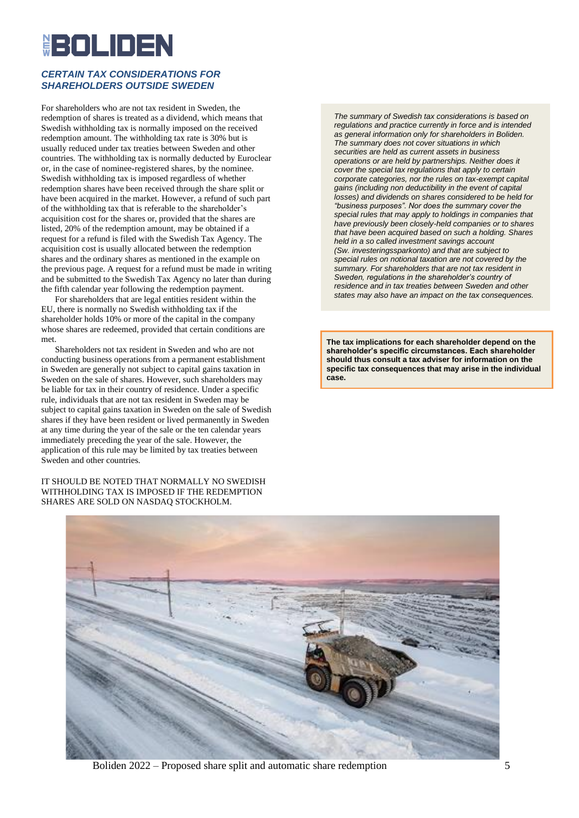# <u>IROLIDEN</u>

## *CERTAIN TAX CONSIDERATIONS FOR SHAREHOLDERS OUTSIDE SWEDEN*

For shareholders who are not tax resident in Sweden, the redemption of shares is treated as a dividend, which means that Swedish withholding tax is normally imposed on the received redemption amount. The withholding tax rate is 30% but is usually reduced under tax treaties between Sweden and other countries. The withholding tax is normally deducted by Euroclear or, in the case of nominee-registered shares, by the nominee. Swedish withholding tax is imposed regardless of whether redemption shares have been received through the share split or have been acquired in the market. However, a refund of such part of the withholding tax that is referable to the shareholder's acquisition cost for the shares or, provided that the shares are listed, 20% of the redemption amount, may be obtained if a request for a refund is filed with the Swedish Tax Agency. The acquisition cost is usually allocated between the redemption shares and the ordinary shares as mentioned in the example on the previous page. A request for a refund must be made in writing and be submitted to the Swedish Tax Agency no later than during the fifth calendar year following the redemption payment.

For shareholders that are legal entities resident within the EU, there is normally no Swedish withholding tax if the shareholder holds 10% or more of the capital in the company whose shares are redeemed, provided that certain conditions are met.

Shareholders not tax resident in Sweden and who are not conducting business operations from a permanent establishment in Sweden are generally not subject to capital gains taxation in Sweden on the sale of shares. However, such shareholders may be liable for tax in their country of residence. Under a specific rule, individuals that are not tax resident in Sweden may be subject to capital gains taxation in Sweden on the sale of Swedish shares if they have been resident or lived permanently in Sweden at any time during the year of the sale or the ten calendar years immediately preceding the year of the sale. However, the application of this rule may be limited by tax treaties between Sweden and other countries.

IT SHOULD BE NOTED THAT NORMALLY NO SWEDISH WITHHOLDING TAX IS IMPOSED IF THE REDEMPTION SHARES ARE SOLD ON NASDAQ STOCKHOLM.

*The summary of Swedish tax considerations is based on regulations and practice currently in force and is intended as general information only for shareholders in Boliden. The summary does not cover situations in which securities are held as current assets in business operations or are held by partnerships. Neither does it cover the special tax regulations that apply to certain corporate categories, nor the rules on tax-exempt capital gains (including non deductibility in the event of capital losses) and dividends on shares considered to be held for "business purposes". Nor does the summary cover the special rules that may apply to holdings in companies that have previously been closely-held companies or to shares that have been acquired based on such a holding. Shares held in a so called investment savings account (Sw. investeringssparkonto) and that are subject to special rules on notional taxation are not covered by the summary. For shareholders that are not tax resident in Sweden, regulations in the shareholder's country of residence and in tax treaties between Sweden and other states may also have an impact on the tax consequences.*

**The tax implications for each shareholder depend on the shareholder's specific circumstances. Each shareholder should thus consult a tax adviser for information on the specific tax consequences that may arise in the individual case.**



Boliden 2022 – Proposed share split and automatic share redemption 5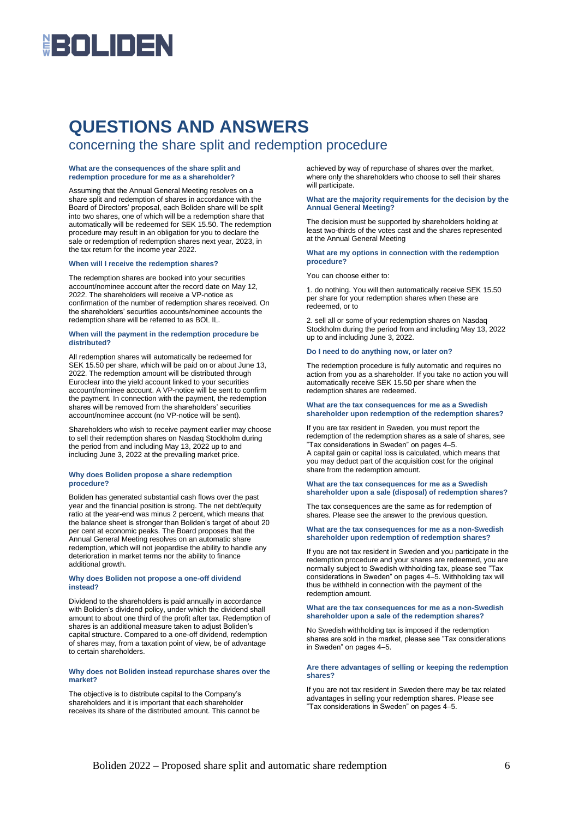# **HEIOLINEN**

# **QUESTIONS AND ANSWERS**

## concerning the share split and redemption procedure

#### **What are the consequences of the share split and redemption procedure for me as a shareholder?**

Assuming that the Annual General Meeting resolves on a share split and redemption of shares in accordance with the Board of Directors' proposal, each Boliden share will be split into two shares, one of which will be a redemption share that automatically will be redeemed for SEK 15.50. The redemption procedure may result in an obligation for you to declare the sale or redemption of redemption shares next year, 2023, in the tax return for the income year 2022.

#### **When will I receive the redemption shares?**

The redemption shares are booked into your securities account/nominee account after the record date on May 12, 2022. The shareholders will receive a VP-notice as confirmation of the number of redemption shares received. On the shareholders' securities accounts/nominee accounts the redemption share will be referred to as BOL IL.

#### **When will the payment in the redemption procedure be distributed?**

All redemption shares will automatically be redeemed for SEK 15.50 per share, which will be paid on or about June 13, 2022. The redemption amount will be distributed through Euroclear into the yield account linked to your securities account/nominee account. A VP-notice will be sent to confirm the payment. In connection with the payment, the redemption shares will be removed from the shareholders' securities account/nominee account (no VP-notice will be sent).

Shareholders who wish to receive payment earlier may choose to sell their redemption shares on Nasdaq Stockholm during the period from and including May 13, 2022 up to and including June 3, 2022 at the prevailing market price.

#### **Why does Boliden propose a share redemption procedure?**

Boliden has generated substantial cash flows over the past year and the financial position is strong. The net debt/equity ratio at the year-end was minus 2 percent, which means that the balance sheet is stronger than Boliden's target of about 20 per cent at economic peaks. The Board proposes that the Annual General Meeting resolves on an automatic share redemption, which will not jeopardise the ability to handle any deterioration in market terms nor the ability to finance additional growth.

#### **Why does Boliden not propose a one-off dividend instead?**

Dividend to the shareholders is paid annually in accordance with Boliden's dividend policy, under which the dividend shall amount to about one third of the profit after tax. Redemption of shares is an additional measure taken to adjust Boliden's capital structure. Compared to a one-off dividend, redemption of shares may, from a taxation point of view, be of advantage to certain shareholders.

#### **Why does not Boliden instead repurchase shares over the market?**

The objective is to distribute capital to the Company's shareholders and it is important that each shareholder receives its share of the distributed amount. This cannot be achieved by way of repurchase of shares over the market, where only the shareholders who choose to sell their shares will participate.

#### **What are the majority requirements for the decision by the Annual General Meeting?**

The decision must be supported by shareholders holding at least two-thirds of the votes cast and the shares represented at the Annual General Meeting

#### **What are my options in connection with the redemption procedure?**

You can choose either to:

1. do nothing. You will then automatically receive SEK 15.50 per share for your redemption shares when these are redeemed, or to

2. sell all or some of your redemption shares on Nasdaq Stockholm during the period from and including May 13, 2022 up to and including June 3, 2022.

#### **Do I need to do anything now, or later on?**

The redemption procedure is fully automatic and requires no action from you as a shareholder. If you take no action you will automatically receive SEK 15.50 per share when the redemption shares are redeemed.

#### **What are the tax consequences for me as a Swedish shareholder upon redemption of the redemption shares?**

If you are tax resident in Sweden, you must report the redemption of the redemption shares as a sale of shares, see "Tax considerations in Sweden" on pages 4–5. A capital gain or capital loss is calculated, which means that you may deduct part of the acquisition cost for the original share from the redemption amount.

#### **What are the tax consequences for me as a Swedish shareholder upon a sale (disposal) of redemption shares?**

The tax consequences are the same as for redemption of shares. Please see the answer to the previous question.

#### **What are the tax consequences for me as a non-Swedish shareholder upon redemption of redemption shares?**

If you are not tax resident in Sweden and you participate in the redemption procedure and your shares are redeemed, you are normally subject to Swedish withholding tax, please see "Tax considerations in Sweden" on pages 4–5. Withholding tax will thus be withheld in connection with the payment of the redemption amount.

#### **What are the tax consequences for me as a non-Swedish shareholder upon a sale of the redemption shares?**

No Swedish withholding tax is imposed if the redemption shares are sold in the market, please see "Tax considerations in Sweden" on pages 4–5.

#### **Are there advantages of selling or keeping the redemption shares?**

If you are not tax resident in Sweden there may be tax related advantages in selling your redemption shares. Please see "Tax considerations in Sweden" on pages 4–5.